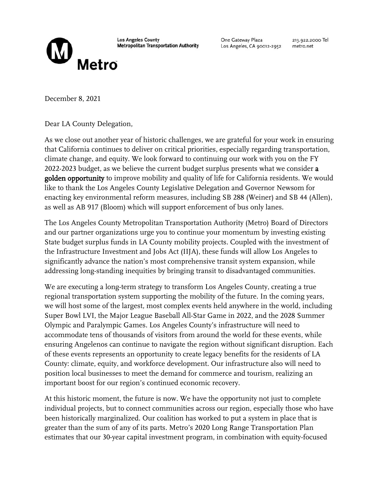

**Los Angeles County Metropolitan Transportation Authority**  One Gateway Plaza Los Angeles, CA 90012-2952 213.922.2000 Tel metro.net

December 8, 2021

Dear LA County Delegation,

As we close out another year of historic challenges, we are grateful for your work in ensuring that California continues to deliver on critical priorities, especially regarding transportation, climate change, and equity. We look forward to continuing our work with you on the FY 2022-2023 budget, as we believe the current budget surplus presents what we consider a golden opportunity to improve mobility and quality of life for California residents. We would like to thank the Los Angeles County Legislative Delegation and Governor Newsom for enacting key environmental reform measures, including SB 288 (Weiner) and SB 44 (Allen), as well as AB 917 (Bloom) which will support enforcement of bus only lanes.

The Los Angeles County Metropolitan Transportation Authority (Metro) Board of Directors and our partner organizations urge you to continue your momentum by investing existing State budget surplus funds in LA County mobility projects. Coupled with the investment of the Infrastructure Investment and Jobs Act (IIJA), these funds will allow Los Angeles to significantly advance the nation's most comprehensive transit system expansion, while addressing long-standing inequities by bringing transit to disadvantaged communities.

We are executing a long-term strategy to transform Los Angeles County, creating a true regional transportation system supporting the mobility of the future. In the coming years, we will host some of the largest, most complex events held anywhere in the world, including Super Bowl LVI, the Major League Baseball All-Star Game in 2022, and the 2028 Summer Olympic and Paralympic Games. Los Angeles County's infrastructure will need to accommodate tens of thousands of visitors from around the world for these events, while ensuring Angelenos can continue to navigate the region without significant disruption. Each of these events represents an opportunity to create legacy benefits for the residents of LA County: climate, equity, and workforce development. Our infrastructure also will need to position local businesses to meet the demand for commerce and tourism, realizing an important boost for our region's continued economic recovery.

At this historic moment, the future is now. We have the opportunity not just to complete individual projects, but to connect communities across our region, especially those who have been historically marginalized. Our coalition has worked to put a system in place that is greater than the sum of any of its parts. Metro's 2020 Long Range Transportation Plan estimates that our 30-year capital investment program, in combination with equity-focused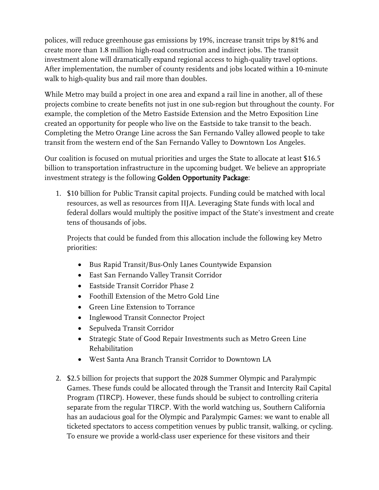polices, will reduce greenhouse gas emissions by 19%, increase transit trips by 81% and create more than 1.8 million high-road construction and indirect jobs. The transit investment alone will dramatically expand regional access to high-quality travel options. After implementation, the number of county residents and jobs located within a 10-minute walk to high-quality bus and rail more than doubles.

While Metro may build a project in one area and expand a rail line in another, all of these projects combine to create benefits not just in one sub-region but throughout the county. For example, the completion of the Metro Eastside Extension and the Metro Exposition Line created an opportunity for people who live on the Eastside to take transit to the beach. Completing the Metro Orange Line across the San Fernando Valley allowed people to take transit from the western end of the San Fernando Valley to Downtown Los Angeles.

Our coalition is focused on mutual priorities and urges the State to allocate at least \$16.5 billion to transportation infrastructure in the upcoming budget. We believe an appropriate investment strategy is the following Golden Opportunity Package:

1. \$10 billion for Public Transit capital projects. Funding could be matched with local resources, as well as resources from IIJA. Leveraging State funds with local and federal dollars would multiply the positive impact of the State's investment and create tens of thousands of jobs.

Projects that could be funded from this allocation include the following key Metro priorities:

- Bus Rapid Transit/Bus-Only Lanes Countywide Expansion
- East San Fernando Valley Transit Corridor
- Eastside Transit Corridor Phase 2
- Foothill Extension of the Metro Gold Line
- Green Line Extension to Torrance
- Inglewood Transit Connector Project
- Sepulveda Transit Corridor
- Strategic State of Good Repair Investments such as Metro Green Line Rehabilitation
- West Santa Ana Branch Transit Corridor to Downtown LA
- 2. \$2.5 billion for projects that support the 2028 Summer Olympic and Paralympic Games. These funds could be allocated through the Transit and Intercity Rail Capital Program (TIRCP). However, these funds should be subject to controlling criteria separate from the regular TIRCP. With the world watching us, Southern California has an audacious goal for the Olympic and Paralympic Games: we want to enable all ticketed spectators to access competition venues by public transit, walking, or cycling. To ensure we provide a world-class user experience for these visitors and their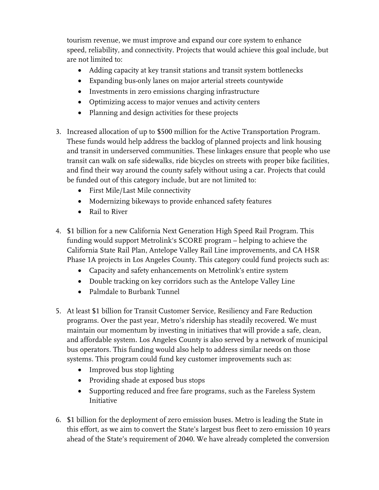tourism revenue, we must improve and expand our core system to enhance speed, reliability, and connectivity. Projects that would achieve this goal include, but are not limited to:

- Adding capacity at key transit stations and transit system bottlenecks
- Expanding bus-only lanes on major arterial streets countywide
- Investments in zero emissions charging infrastructure
- Optimizing access to major venues and activity centers
- Planning and design activities for these projects
- 3. Increased allocation of up to \$500 million for the Active Transportation Program. These funds would help address the backlog of planned projects and link housing and transit in underserved communities. These linkages ensure that people who use transit can walk on safe sidewalks, ride bicycles on streets with proper bike facilities, and find their way around the county safely without using a car. Projects that could be funded out of this category include, but are not limited to:
	- First Mile/Last Mile connectivity
	- Modernizing bikeways to provide enhanced safety features
	- Rail to River
- 4. \$1 billion for a new California Next Generation High Speed Rail Program. This funding would support Metrolink's SCORE program – helping to achieve the California State Rail Plan, Antelope Valley Rail Line improvements, and CA HSR Phase 1A projects in Los Angeles County. This category could fund projects such as:
	- Capacity and safety enhancements on Metrolink's entire system
	- Double tracking on key corridors such as the Antelope Valley Line
	- Palmdale to Burbank Tunnel
- 5. At least \$1 billion for Transit Customer Service, Resiliency and Fare Reduction programs. Over the past year, Metro's ridership has steadily recovered. We must maintain our momentum by investing in initiatives that will provide a safe, clean, and affordable system. Los Angeles County is also served by a network of municipal bus operators. This funding would also help to address similar needs on those systems. This program could fund key customer improvements such as:
	- Improved bus stop lighting
	- Providing shade at exposed bus stops
	- Supporting reduced and free fare programs, such as the Fareless System Initiative
- 6. \$1 billion for the deployment of zero emission buses. Metro is leading the State in this effort, as we aim to convert the State's largest bus fleet to zero emission 10 years ahead of the State's requirement of 2040. We have already completed the conversion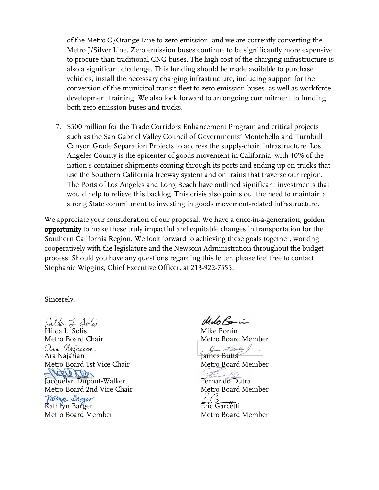of the Metro G/Orange Line to zero emission, and we are currently converting the Metro J/Silver Line. Zero emission buses continue to be significantly more expensive to procure than traditional CNG buses. The high cost of the charging infrastructure is also a significant challenge. This funding should be made available to purchase vehicles, install the necessary charging infrastructure, including support for the conversion of the municipal transit fleet to zero emission buses, as well as workforce development training. We also look forward to an ongoing commitment to funding both zero emission buses and trucks.

7. \$500 million for the Trade Corridors Enhancement Program and critical projects such as the San Gabriel Valley Council of Governments' Montebello and Turnbull Canyon Grade Separation Projects to address the supply-chain infrastructure. Los Angeles County is the epicenter of goods movement in California, with 40% of the nation's container shipments coming through its ports and ending up on trucks that use the Southern California freeway system and on trains that traverse our region. The Ports of Los Angeles and Long Beach have outlined significant investments that would help to relieve this backlog. This crisis also points out the need to maintain a strong State commitment to investing in goods movement-related infrastructure.

We appreciate your consideration of our proposal. We have a once-in-a-generation, **golden** opportunity to make these truly impactful and equitable changes in transportation for the Southern California Region. We look forward to achieving these goals together, working cooperatively with the legislature and the Newsom Administration throughout the budget process. Should you have any questions regarding this letter, please feel free to contact Stephanie Wiggins, Chief Executive Officer, at 213-922-7555.

## Sincerely,

Hilda L. Solis<br>Hilda L. Solis, Metro Board Chair Ara Najarian Metro Board 1st Vice Chair JACCON<br>Jacquelyn Dupont-Walker, Metro Board 2nd Vice Chair Varmy Barger Kathryn Barger Metro Board Member

MeloRain

Mike Bonin Metro Board Member Com FButts

James Butts Metro Board Member

Fernando Dutra Metro Board Member

Eric Garcetti Metro Board Member